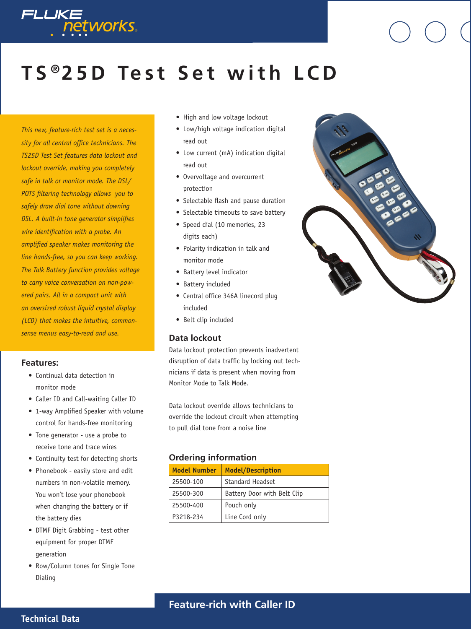

# **T S ® 2 5 D Te s t S e t w i t h L C D**

*This new, feature-rich test set is a necessity for all central office technicians. The TS25D Test Set features data lockout and lockout override, making you completely safe in talk or monitor mode. The DSL/ POTS filtering technology allows you to safely draw dial tone without downing DSL. A built-in tone generator simplifies wire identification with a probe. An amplified speaker makes monitoring the line hands-free, so you can keep working. The Talk Battery function provides voltage to carry voice conversation on non-powered pairs. All in a compact unit with an oversized robust liquid crystal display (LCD) that makes the intuitive, commonsense menus easy-to-read and use.*

#### **Features:**

- Continual data detection in monitor mode
- Caller ID and Call-waiting Caller ID
- 1-way Amplified Speaker with volume control for hands-free monitoring
- Tone generator use a probe to receive tone and trace wires
- Continuity test for detecting shorts
- Phonebook easily store and edit numbers in non-volatile memory. You won't lose your phonebook when changing the battery or if the battery dies
- DTMF Digit Grabbing test other equipment for proper DTMF generation
- Row/Column tones for Single Tone Dialing
- High and low voltage lockout
- Low/high voltage indication digital read out
- Low current (mA) indication digital read out
- Overvoltage and overcurrent protection
- Selectable flash and pause duration
- Selectable timeouts to save battery
- Speed dial (10 memories, 23 digits each)
- Polarity indication in talk and monitor mode
- Battery level indicator
- Battery included
- Central office 346A linecord plug included
- Belt clip included

#### **Data lockout**

Data lockout protection prevents inadvertent disruption of data traffic by locking out technicians if data is present when moving from Monitor Mode to Talk Mode.

Data lockout override allows technicians to override the lockout circuit when attempting to pull dial tone from a noise line

#### **Ordering information**

| <b>Model Number</b> | <b>Model/Description</b>    |
|---------------------|-----------------------------|
| 25500-100           | Standard Headset            |
| 25500-300           | Battery Door with Belt Clip |
| 25500-400           | Pouch only                  |
| P3218-234           | Line Cord only              |